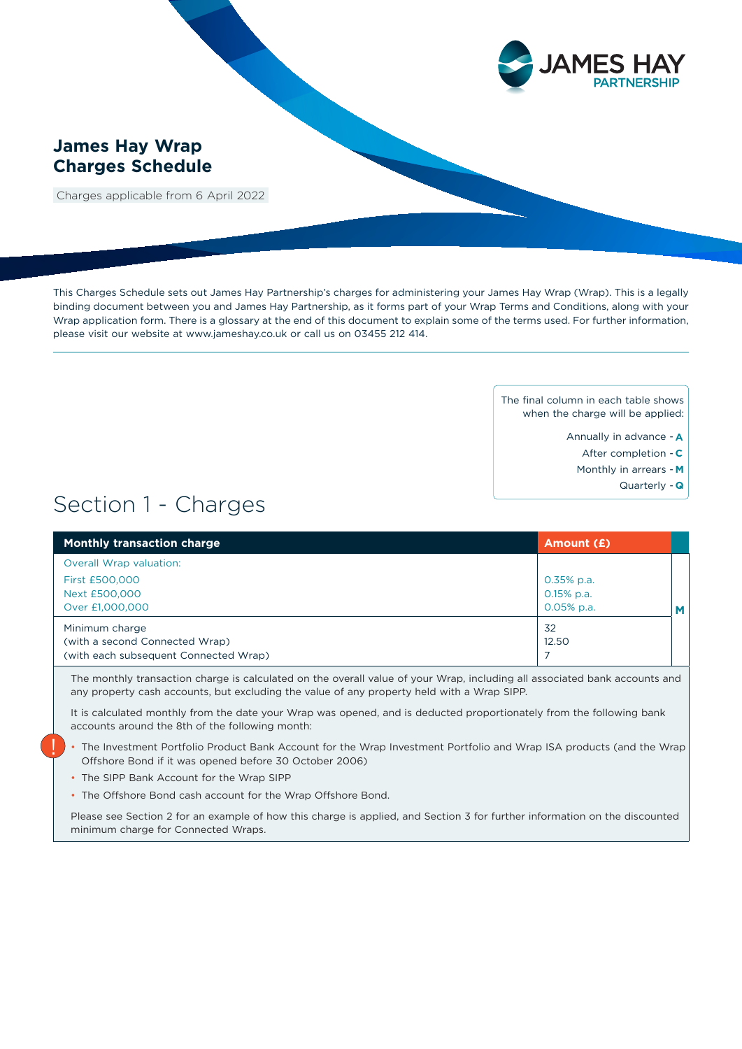

## **James Hay Wrap Charges Schedule**

Charges applicable from 6 April 2022

This Charges Schedule sets out James Hay Partnership's charges for administering your James Hay Wrap (Wrap). This is a legally binding document between you and James Hay Partnership, as it forms part of your Wrap Terms and Conditions, along with your Wrap application form. There is a glossary at the end of this document to explain some of the terms used. For further information, please visit our website at www.jameshay.co.uk or call us on 03455 212 414.

> The final column in each table shows when the charge will be applied:

- Annually in advance **A**
	- After completion **C**
- Monthly in arrears **M**
	- Quarterly **Q**

# Section 1 - Charges

| <b>Monthly transaction charge</b>                                                         | Amount (£)                                    |   |
|-------------------------------------------------------------------------------------------|-----------------------------------------------|---|
| Overall Wrap valuation:                                                                   |                                               |   |
| First £500,000<br>Next £500,000<br>Over £1,000,000                                        | $0.35%$ p.a.<br>$0.15\%$ p.a.<br>$0.05%$ p.a. | M |
| Minimum charge<br>(with a second Connected Wrap)<br>(with each subsequent Connected Wrap) | 32<br>12.50                                   |   |

The monthly transaction charge is calculated on the overall value of your Wrap, including all associated bank accounts and any property cash accounts, but excluding the value of any property held with a Wrap SIPP.

It is calculated monthly from the date your Wrap was opened, and is deducted proportionately from the following bank accounts around the 8th of the following month:

- The Investment Portfolio Product Bank Account for the Wrap Investment Portfolio and Wrap ISA products (and the Wrap Offshore Bond if it was opened before 30 October 2006)
- The SIPP Bank Account for the Wrap SIPP

!

• The Offshore Bond cash account for the Wrap Offshore Bond.

Please see Section 2 for an example of how this charge is applied, and Section 3 for further information on the discounted minimum charge for Connected Wraps.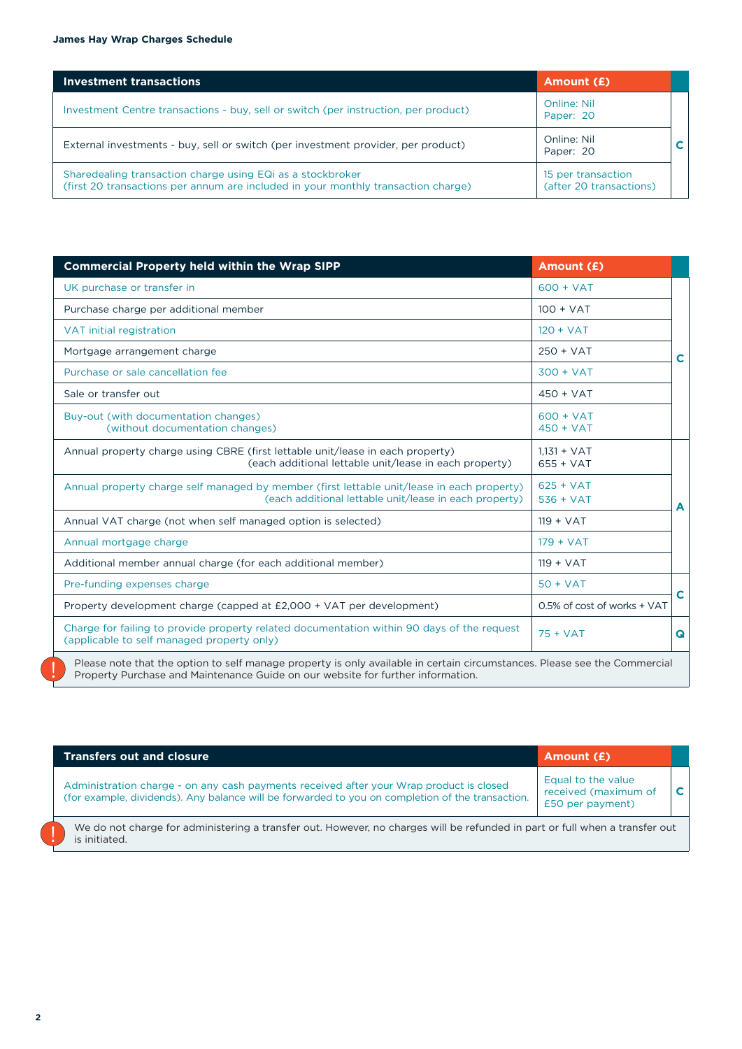| <b>Investment transactions</b>                                                                                                                  | Amount (£)                                    |  |
|-------------------------------------------------------------------------------------------------------------------------------------------------|-----------------------------------------------|--|
| Investment Centre transactions - buy, sell or switch (per instruction, per product)                                                             | <b>Online: Nil</b><br>Paper: 20               |  |
| External investments - buy, sell or switch (per investment provider, per product)                                                               | Online: Nil<br>Paper: 20                      |  |
| Sharedealing transaction charge using EQi as a stockbroker<br>(first 20 transactions per annum are included in your monthly transaction charge) | 15 per transaction<br>(after 20 transactions) |  |

| <b>Commercial Property held within the Wrap SIPP</b>                                                                                                                                                         | Amount (£)                   |   |
|--------------------------------------------------------------------------------------------------------------------------------------------------------------------------------------------------------------|------------------------------|---|
| UK purchase or transfer in                                                                                                                                                                                   | $600 + VAT$                  |   |
| Purchase charge per additional member                                                                                                                                                                        | $100 + VAT$                  |   |
| VAT initial registration                                                                                                                                                                                     | $120 + VAT$                  |   |
| Mortgage arrangement charge                                                                                                                                                                                  | $250 + VAT$                  | C |
| Purchase or sale cancellation fee                                                                                                                                                                            | $300 + VAT$                  |   |
| Sale or transfer out                                                                                                                                                                                         | $450 + VAT$                  |   |
| Buy-out (with documentation changes)<br>(without documentation changes)                                                                                                                                      | $600 + VAT$<br>$450 + VAT$   |   |
| Annual property charge using CBRE (first lettable unit/lease in each property)<br>(each additional lettable unit/lease in each property)                                                                     | $1.131 + VAT$<br>$655 + VAT$ |   |
| Annual property charge self managed by member (first lettable unit/lease in each property)<br>(each additional lettable unit/lease in each property)                                                         | $625 + VAT$<br>$536 + VAT$   | A |
| Annual VAT charge (not when self managed option is selected)                                                                                                                                                 | $119 + VAT$                  |   |
| Annual mortgage charge                                                                                                                                                                                       | $179 + VAT$                  |   |
| Additional member annual charge (for each additional member)                                                                                                                                                 | $119 + VAT$                  |   |
| Pre-funding expenses charge                                                                                                                                                                                  | $50 + VAT$                   |   |
| Property development charge (capped at £2,000 + VAT per development)                                                                                                                                         | 0.5% of cost of works + VAT  | C |
| Charge for failing to provide property related documentation within 90 days of the request<br>(applicable to self managed property only)                                                                     | $75 + VAT$                   | Q |
| Please note that the option to self manage property is only available in certain circumstances. Please see the Commercial<br>Property Purchase and Maintenance Guide on our website for further information. |                              |   |

| <b>Transfers out and closure</b>                                                                                                                                                            | Amount (£)                                                     |   |
|---------------------------------------------------------------------------------------------------------------------------------------------------------------------------------------------|----------------------------------------------------------------|---|
| Administration charge - on any cash payments received after your Wrap product is closed<br>(for example, dividends). Any balance will be forwarded to you on completion of the transaction. | Equal to the value<br>received (maximum of<br>£50 per payment) | C |
| We do not charge for administering a transfer out. However, no charges will be refunded in part or full when a transfer out<br>is initiated                                                 |                                                                |   |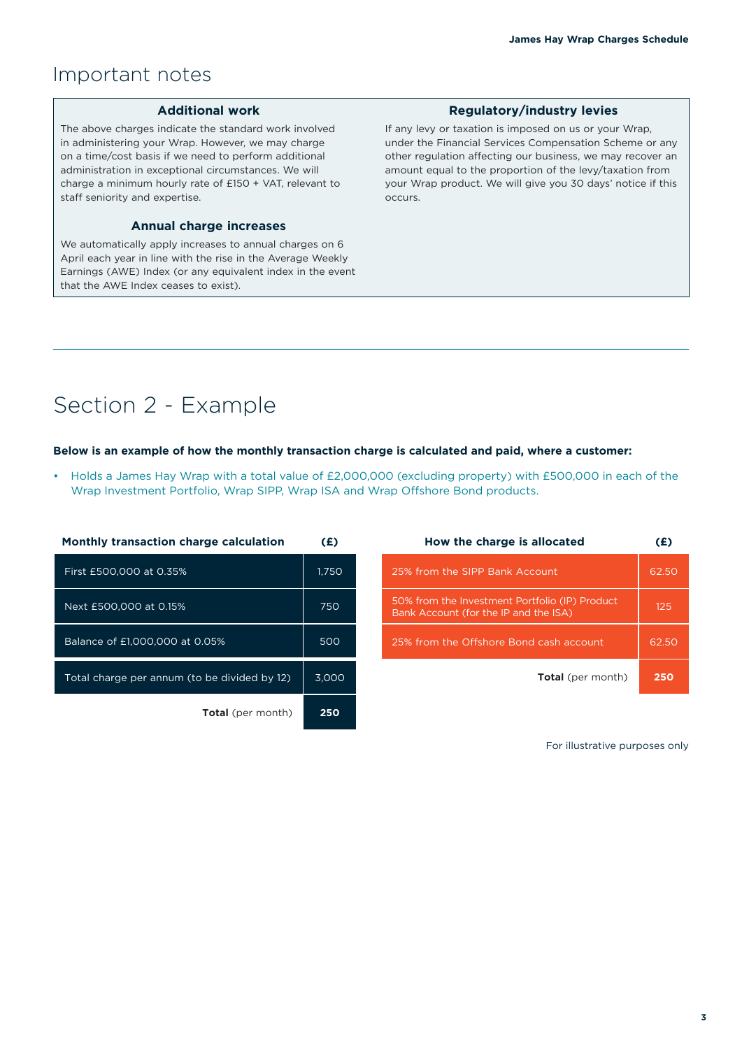# Important notes

#### **Additional work**

The above charges indicate the standard work involved in administering your Wrap. However, we may charge on a time/cost basis if we need to perform additional administration in exceptional circumstances. We will charge a minimum hourly rate of £150 + VAT, relevant to staff seniority and expertise.

### **Annual charge increases**

We automatically apply increases to annual charges on 6 April each year in line with the rise in the Average Weekly Earnings (AWE) Index (or any equivalent index in the event that the AWE Index ceases to exist).

#### **Regulatory/industry levies**

If any levy or taxation is imposed on us or your Wrap, under the Financial Services Compensation Scheme or any other regulation affecting our business, we may recover an amount equal to the proportion of the levy/taxation from your Wrap product. We will give you 30 days' notice if this occurs.

# Section 2 - Example

#### **Below is an example of how the monthly transaction charge is calculated and paid, where a customer:**

• Holds a James Hay Wrap with a total value of £2,000,000 (excluding property) with £500,000 in each of the Wrap Investment Portfolio, Wrap SIPP, Wrap ISA and Wrap Offshore Bond products.

| <b>Monthly transaction charge calculation</b> | (£)   |
|-----------------------------------------------|-------|
| First £500,000 at 0.35%                       | 1,750 |
| Next £500,000 at 0.15%                        | 750   |
| Balance of £1,000,000 at 0.05%                | 500   |
| Total charge per annum (to be divided by 12)  | 3.000 |
| <b>Total</b> (per month)                      | 250   |

| How the charge is allocated                                                             | (£)   |
|-----------------------------------------------------------------------------------------|-------|
| 25% from the SIPP Bank Account                                                          | 62.5C |
| 50% from the Investment Portfolio (IP) Product<br>Bank Account (for the IP and the ISA) | 125   |
| 25% from the Offshore Bond cash account                                                 | 62.50 |
| <b>Total</b> (per month)                                                                | 250   |

For illustrative purposes only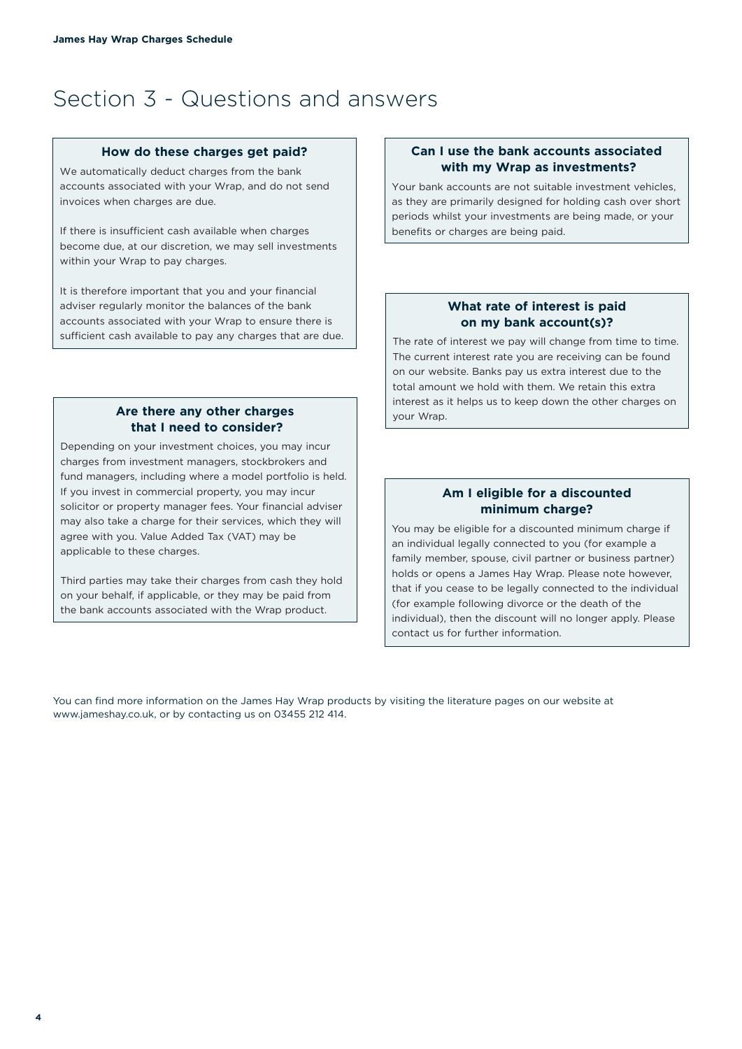# Section 3 - Questions and answers

#### **How do these charges get paid?**

We automatically deduct charges from the bank accounts associated with your Wrap, and do not send invoices when charges are due.

If there is insufficient cash available when charges become due, at our discretion, we may sell investments within your Wrap to pay charges.

It is therefore important that you and your financial adviser regularly monitor the balances of the bank accounts associated with your Wrap to ensure there is sufficient cash available to pay any charges that are due.

### **Are there any other charges that I need to consider?**

Depending on your investment choices, you may incur charges from investment managers, stockbrokers and fund managers, including where a model portfolio is held. If you invest in commercial property, you may incur solicitor or property manager fees. Your financial adviser may also take a charge for their services, which they will agree with you. Value Added Tax (VAT) may be applicable to these charges.

Third parties may take their charges from cash they hold on your behalf, if applicable, or they may be paid from the bank accounts associated with the Wrap product.

## **Can I use the bank accounts associated with my Wrap as investments?**

Your bank accounts are not suitable investment vehicles, as they are primarily designed for holding cash over short periods whilst your investments are being made, or your benefits or charges are being paid.

### **What rate of interest is paid on my bank account(s)?**

The rate of interest we pay will change from time to time. The current interest rate you are receiving can be found on our website. Banks pay us extra interest due to the total amount we hold with them. We retain this extra interest as it helps us to keep down the other charges on your Wrap.

## **Am I eligible for a discounted minimum charge?**

You may be eligible for a discounted minimum charge if an individual legally connected to you (for example a family member, spouse, civil partner or business partner) holds or opens a James Hay Wrap. Please note however, that if you cease to be legally connected to the individual (for example following divorce or the death of the individual), then the discount will no longer apply. Please contact us for further information.

You can find more information on the James Hay Wrap products by visiting the literature pages on our website at www.jameshay.co.uk, or by contacting us on 03455 212 414.